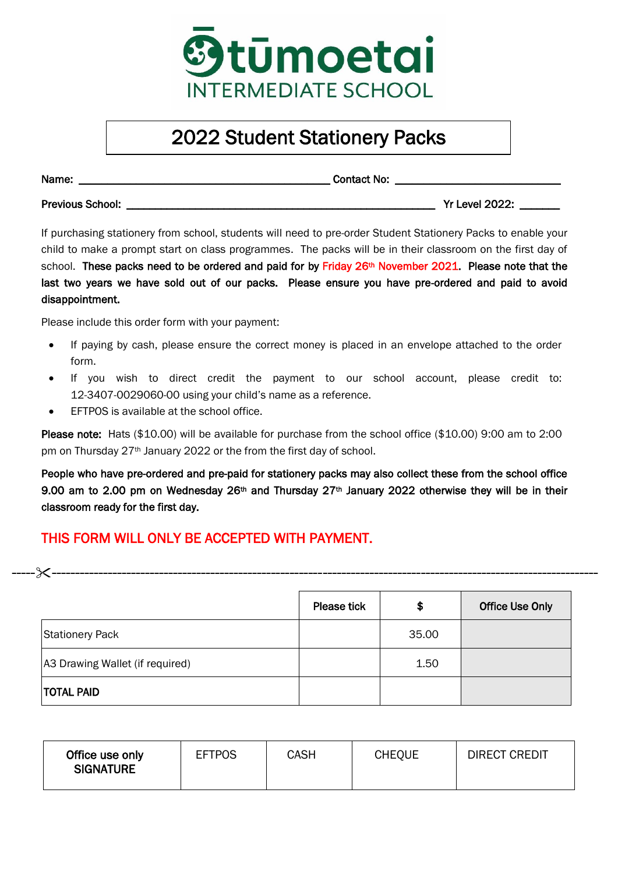

## 2022 Student Stationery Packs

Name: The contact No:  $\blacksquare$ 

Previous School: \_\_\_\_\_\_\_\_\_\_\_\_\_\_\_\_\_\_\_\_\_\_\_\_\_\_\_\_\_\_\_\_\_\_\_\_\_\_\_\_\_\_\_\_\_\_\_\_\_\_\_\_\_\_ Yr Level 2022: \_\_\_\_\_\_\_

If purchasing stationery from school, students will need to pre-order Student Stationery Packs to enable your child to make a prompt start on class programmes. The packs will be in their classroom on the first day of school. These packs need to be ordered and paid for by Friday 26<sup>th</sup> November 2021. Please note that the last two years we have sold out of our packs. Please ensure you have pre-ordered and paid to avoid disappointment.

Please include this order form with your payment:

- If paying by cash, please ensure the correct money is placed in an envelope attached to the order form.
- If you wish to direct credit the payment to our school account, please credit to: 12-3407-0029060-00 using your child's name as a reference.
- EFTPOS is available at the school office.

Please note: Hats (\$10.00) will be available for purchase from the school office (\$10.00) 9:00 am to 2:00 pm on Thursday 27<sup>th</sup> January 2022 or the from the first day of school.

People who have pre-ordered and pre-paid for stationery packs may also collect these from the school office 9.00 am to 2.00 pm on Wednesday 26<sup>th</sup> and Thursday 27<sup>th</sup> January 2022 otherwise they will be in their classroom ready for the first day.

## THIS FORM WILL ONLY BE ACCEPTED WITH PAYMENT.

|                                 | <b>Please tick</b> | \$    | <b>Office Use Only</b> |
|---------------------------------|--------------------|-------|------------------------|
| <b>Stationery Pack</b>          |                    | 35.00 |                        |
| A3 Drawing Wallet (if required) |                    | 1.50  |                        |
| <b>TOTAL PAID</b>               |                    |       |                        |

--------------------------------------------------------------------------------------------------------------------------

| Office use only<br><b>SIGNATURE</b> | <b>EFTPOS</b> | CASH | <b>CHEQUE</b> | <b>DIRECT CREDIT</b> |
|-------------------------------------|---------------|------|---------------|----------------------|
|-------------------------------------|---------------|------|---------------|----------------------|